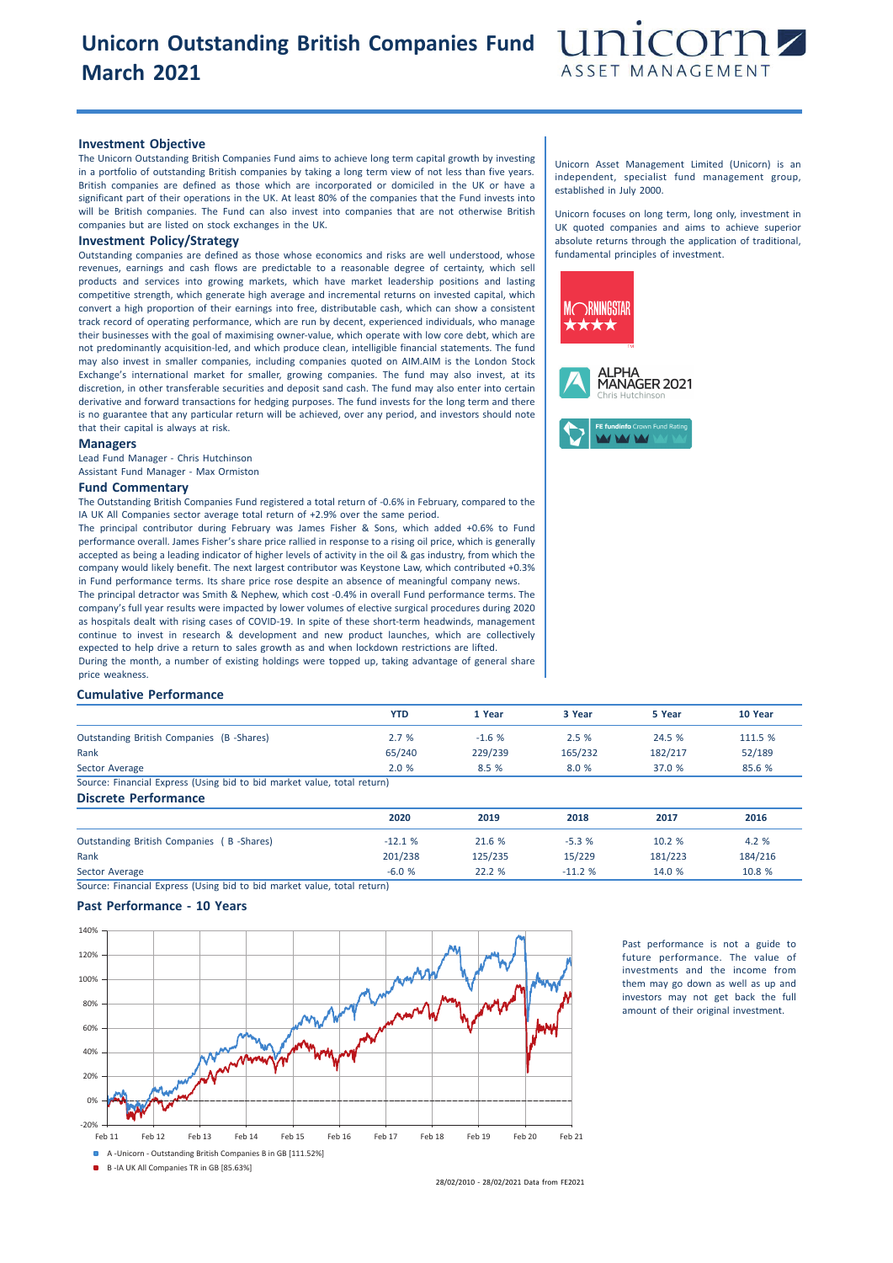# **Unicorn Outstanding British Companies Fund March 2021**



### **Investment Objective**

The Unicorn Outstanding British Companies Fund aims to achieve long term capital growth by investing in a portfolio of outstanding British companies by taking a long term view of not less than five years. British companies are defined as those which are incorporated or domiciled in the UK or have a significant part of their operations in the UK. At least 80% of the companies that the Fund invests into will be British companies. The Fund can also invest into companies that are not otherwise British companies but are listed on stock exchanges in the UK.

## **Investment Policy/Strategy**

Outstanding companies are defined as those whose economics and risks are well understood, whose revenues, earnings and cash flows are predictable to a reasonable degree of certainty, which sell products and services into growing markets, which have market leadership positions and lasting competitive strength, which generate high average and incremental returns on invested capital, which convert a high proportion of their earnings into free, distributable cash, which can show a consistent track record of operating performance, which are run by decent, experienced individuals, who manage their businesses with the goal of maximising owner-value, which operate with low core debt, which are not predominantly acquisition-led, and which produce clean, intelligible financial statements. The fund may also invest in smaller companies, including companies quoted on AIM.AIM is the London Stock Exchange's international market for smaller, growing companies. The fund may also invest, at its discretion, in other transferable securities and deposit sand cash. The fund may also enter into certain derivative and forward transactions for hedging purposes. The fund invests for the long term and there is no guarantee that any particular return will be achieved, over any period, and investors should note that their capital is always at risk.

#### **Managers**

Lead Fund Manager - Chris Hutchinson Assistant Fund Manager - Max Ormiston

#### **Fund Commentary**

The Outstanding British Companies Fund registered a total return of -0.6% in February, compared to the IA UK All Companies sector average total return of +2.9% over the same period.

The principal contributor during February was James Fisher & Sons, which added +0.6% to Fund performance overall. James Fisher's share price rallied in response to a rising oil price, which is generally accepted as being a leading indicator of higher levels of activity in the oil & gas industry, from which the company would likely benefit. The next largest contributor was Keystone Law, which contributed +0.3% in Fund performance terms. Its share price rose despite an absence of meaningful company news. The principal detractor was Smith & Nephew, which cost -0.4% in overall Fund performance terms. The company's full year results were impacted by lower volumes of elective surgical procedures during 2020 as hospitals dealt with rising cases of COVID-19. In spite of these short-term headwinds, management

continue to invest in research & development and new product launches, which are collectively expected to help drive a return to sales growth as and when lockdown restrictions are lifted. During the month, a number of existing holdings were topped up, taking advantage of general share price weakness.

### **Cumulative Performance**

|                                                                         | <b>YTD</b> | 1 Year  | 3 Year  | 5 Year  | 10 Year |
|-------------------------------------------------------------------------|------------|---------|---------|---------|---------|
| Outstanding British Companies (B-Shares)                                | 2.7%       | $-1.6%$ | 2.5%    | 24.5 %  | 111.5 % |
| Rank                                                                    | 65/240     | 229/239 | 165/232 | 182/217 | 52/189  |
| Sector Average                                                          | 2.0%       | 8.5 %   | 8.0 %   | 37.0 %  | 85.6 %  |
| Source: Financial Express (Using bid to bid market value, total return) |            |         |         |         |         |
| <b>Discrete Performance</b>                                             |            |         |         |         |         |
|                                                                         | 2020       | 2019    | 2018    | 2017    | 2016    |
| Outstanding British Companies (B-Shares)                                | $-12.1%$   | 21.6 %  | $-5.3%$ | 10.2%   | 4.2 %   |

Rank 201/238 125/235 15/229 181/223 184/216

Sector Average -6.0 % 22.2 % -11.2 % 14.0 % 10.8 % Source: Financial Express (Using bid to bid market value, total return)

#### **Past Performance - 10 Years**



Past performance is not a guide to future performance. The value of investments and the income from them may go down as well as up and investors may not get back the full amount of their original investment.

Unicorn Asset Management Limited (Unicorn) is an independent, specialist fund management group, established in July 2000.

Unicorn focuses on long term, long only, investment in UK quoted companies and aims to achieve superior absolute returns through the application of traditional, fundamental principles of investment.



<sup>28/02/2010</sup> - 28/02/2021 Data from FE2021